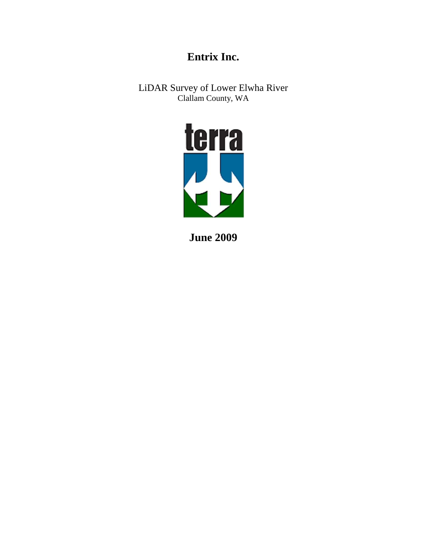# **Entrix Inc.**

LiDAR Survey of Lower Elwha River Clallam County, WA



**June 2009**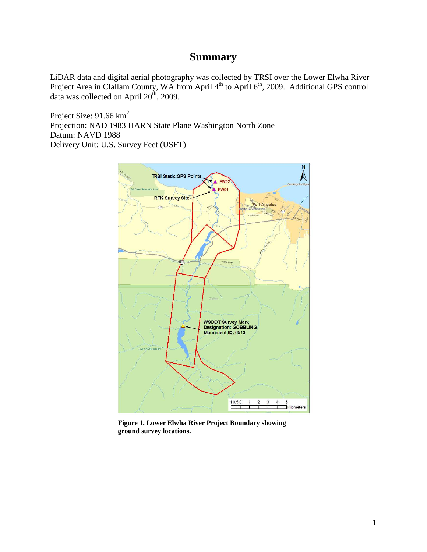### **Summary**

LiDAR data and digital aerial photography was collected by TRSI over the Lower Elwha River Project Area in Clallam County, WA from April 4<sup>th</sup> to April 6<sup>th</sup>, 2009. Additional GPS control data was collected on April  $20^{th}$ , 2009.

Project Size: 91.66 km<sup>2</sup> Projection: NAD 1983 HARN State Plane Washington North Zone Datum: NAVD 1988 Delivery Unit: U.S. Survey Feet (USFT)



**Figure 1. Lower Elwha River Project Boundary showing ground survey locations.**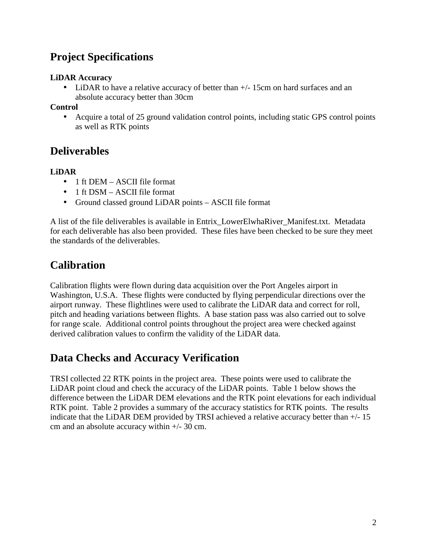## **Project Specifications**

#### **LiDAR Accuracy**

• LiDAR to have a relative accuracy of better than  $+/- 15$ cm on hard surfaces and an absolute accuracy better than 30cm

#### **Control**

• Acquire a total of 25 ground validation control points, including static GPS control points as well as RTK points

### **Deliverables**

#### **LiDAR**

- 1 ft DEM ASCII file format
- 1 ft DSM ASCII file format
- Ground classed ground LiDAR points ASCII file format

A list of the file deliverables is available in Entrix\_LowerElwhaRiver\_Manifest.txt. Metadata for each deliverable has also been provided. These files have been checked to be sure they meet the standards of the deliverables.

### **Calibration**

Calibration flights were flown during data acquisition over the Port Angeles airport in Washington, U.S.A. These flights were conducted by flying perpendicular directions over the airport runway. These flightlines were used to calibrate the LiDAR data and correct for roll, pitch and heading variations between flights. A base station pass was also carried out to solve for range scale. Additional control points throughout the project area were checked against derived calibration values to confirm the validity of the LiDAR data.

### **Data Checks and Accuracy Verification**

TRSI collected 22 RTK points in the project area. These points were used to calibrate the LiDAR point cloud and check the accuracy of the LiDAR points. Table 1 below shows the difference between the LiDAR DEM elevations and the RTK point elevations for each individual RTK point. Table 2 provides a summary of the accuracy statistics for RTK points. The results indicate that the LiDAR DEM provided by TRSI achieved a relative accuracy better than  $+/-15$ cm and an absolute accuracy within +/- 30 cm.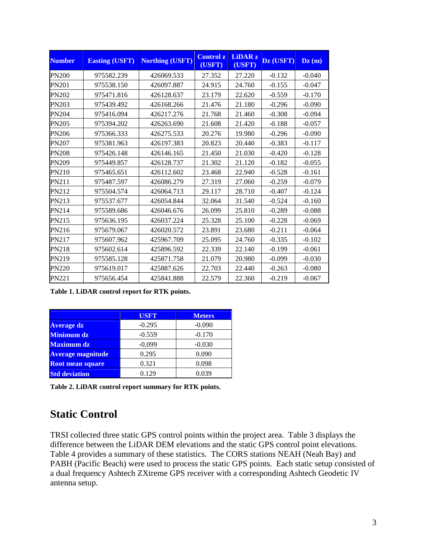| <b>Number</b> | <b>Easting (USFT)</b> | <b>Northing (USFT)</b> | <b>Control z</b><br>(USFT) | <b>LiDAR z</b><br>(USFT) | Dz (USFT) | $\mathbf{D}\mathbf{z}$ (m) |
|---------------|-----------------------|------------------------|----------------------------|--------------------------|-----------|----------------------------|
| <b>PN200</b>  | 975582.239            | 426069.533             | 27.352                     | 27.220                   | $-0.132$  | $-0.040$                   |
| PN201         | 975538.150            | 426097.887             | 24.915                     | 24.760                   | $-0.155$  | $-0.047$                   |
| <b>PN202</b>  | 975471.816            | 426128.637             | 23.179                     | 22.620                   | $-0.559$  | $-0.170$                   |
| PN203         | 975439.492            | 426168.266             | 21.476                     | 21.180                   | $-0.296$  | $-0.090$                   |
| <b>PN204</b>  | 975416.094            | 426217.276             | 21.768                     | 21.460                   | $-0.308$  | $-0.094$                   |
| <b>PN205</b>  | 975394.202            | 426263.690             | 21.608                     | 21.420                   | $-0.188$  | $-0.057$                   |
| <b>PN206</b>  | 975366.333            | 426275.533             | 20.276                     | 19.980                   | $-0.296$  | $-0.090$                   |
| <b>PN207</b>  | 975381.963            | 426197.383             | 20.823                     | 20.440                   | $-0.383$  | $-0.117$                   |
| <b>PN208</b>  | 975426.148            | 426146.165             | 21.450                     | 21.030                   | $-0.420$  | $-0.128$                   |
| <b>PN209</b>  | 975449.857            | 426128.737             | 21.302                     | 21.120                   | $-0.182$  | $-0.055$                   |
| PN210         | 975465.651            | 426112.602             | 23.468                     | 22.940                   | $-0.528$  | $-0.161$                   |
| PN211         | 975487.597            | 426086.279             | 27.319                     | 27.060                   | $-0.259$  | $-0.079$                   |
| PN212         | 975504.574            | 426064.713             | 29.117                     | 28.710                   | $-0.407$  | $-0.124$                   |
| PN213         | 975537.677            | 426054.844             | 32.064                     | 31.540                   | $-0.524$  | $-0.160$                   |
| PN214         | 975589.686            | 426046.676             | 26.099                     | 25.810                   | $-0.289$  | $-0.088$                   |
| PN215         | 975636.195            | 426037.224             | 25.328                     | 25.100                   | $-0.228$  | $-0.069$                   |
| PN216         | 975679.067            | 426020.572             | 23.891                     | 23.680                   | $-0.211$  | $-0.064$                   |
| PN217         | 975607.962            | 425967.709             | 25.095                     | 24.760                   | $-0.335$  | $-0.102$                   |
| <b>PN218</b>  | 975602.614            | 425896.592             | 22.339                     | 22.140                   | $-0.199$  | $-0.061$                   |
| PN219         | 975585.128            | 425871.758             | 21.079                     | 20.980                   | $-0.099$  | $-0.030$                   |
| <b>PN220</b>  | 975619.017            | 425887.626             | 22.703                     | 22.440                   | $-0.263$  | $-0.080$                   |
| PN221         | 975656.454            | 425841.888             | 22.579                     | 22.360                   | $-0.219$  | $-0.067$                   |

**Table 1. LiDAR control report for RTK points.** 

|                          | <b>USFT</b> | <b>Meters</b> |
|--------------------------|-------------|---------------|
| <b>Average dz</b>        | $-0.295$    | $-0.090$      |
| <b>Minimum dz</b>        | $-0.559$    | $-0.170$      |
| <b>Maximum dz</b>        | $-0.099$    | $-0.030$      |
| <b>Average magnitude</b> | 0.295       | 0.090         |
| <b>Root mean square</b>  | 0.321       | 0.098         |
| <b>Std deviation</b>     | 0.129       | 0.039         |

**Table 2. LiDAR control report summary for RTK points.** 

### **Static Control**

TRSI collected three static GPS control points within the project area. Table 3 displays the difference between the LiDAR DEM elevations and the static GPS control point elevations. Table 4 provides a summary of these statistics. The CORS stations NEAH (Neah Bay) and PABH (Pacific Beach) were used to process the static GPS points. Each static setup consisted of a dual frequency Ashtech ZXtreme GPS receiver with a corresponding Ashtech Geodetic IV antenna setup.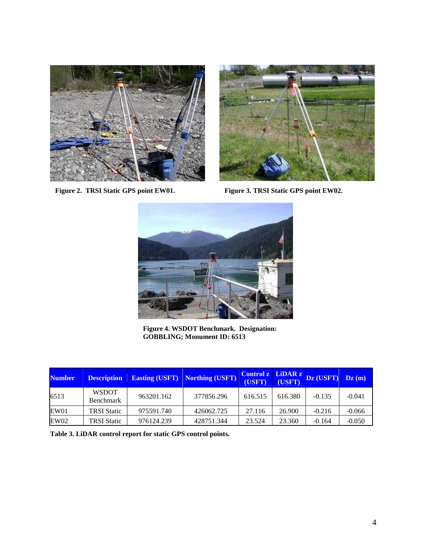



Figure 2. TRSI Static GPS point EW01. Figure 3. TRSI Static GPS point EW02.



**Figure 4. WSDOT Benchmark. Designation: GOBBLING; Monument ID: 6513** 

| <b>Number</b> | <b>Description</b>        | <b>Easting (USFT)</b> | Northing (USFT) | Control z LiDAR z<br>(USFT) | (USFT)  | Dz (USFT) | $\mathbf{Dz}(\mathbf{m})$ |
|---------------|---------------------------|-----------------------|-----------------|-----------------------------|---------|-----------|---------------------------|
| 6513          | <b>WSDOT</b><br>Benchmark | 963201.162            | 377856.296      | 616.515                     | 616.380 | $-0.135$  | $-0.041$                  |
| EW01          | <b>TRSI</b> Static        | 975591.740            | 426062.725      | 27.116                      | 26.900  | $-0.216$  | $-0.066$                  |
| EW02          | TRSI Static               | 976124.239            | 428751.344      | 23.524                      | 23.360  | $-0.164$  | $-0.050$                  |

**Table 3. LiDAR control report for static GPS control points.**